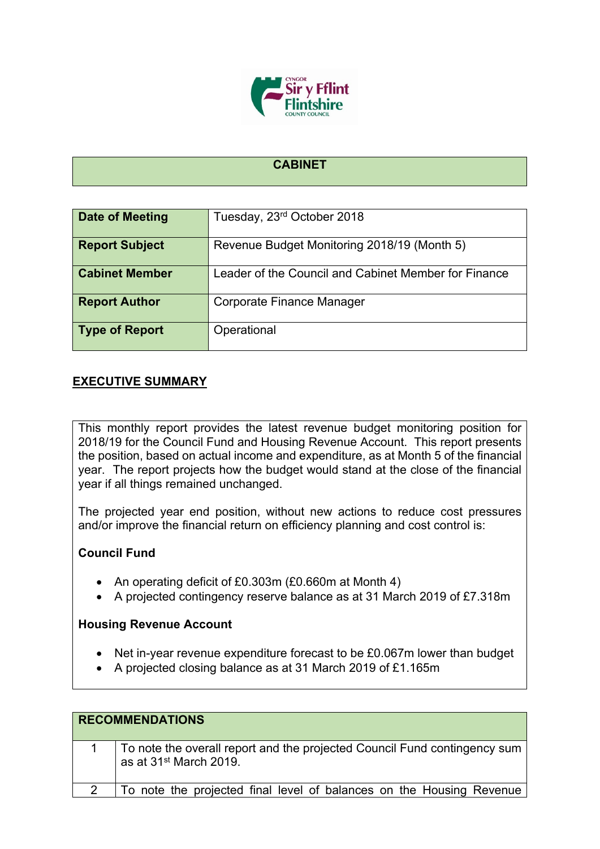

### **CABINET**

| Date of Meeting       | Tuesday, 23rd October 2018                           |
|-----------------------|------------------------------------------------------|
| <b>Report Subject</b> | Revenue Budget Monitoring 2018/19 (Month 5)          |
| <b>Cabinet Member</b> | Leader of the Council and Cabinet Member for Finance |
| <b>Report Author</b>  | Corporate Finance Manager                            |
| <b>Type of Report</b> | Operational                                          |

## **EXECUTIVE SUMMARY**

This monthly report provides the latest revenue budget monitoring position for 2018/19 for the Council Fund and Housing Revenue Account. This report presents the position, based on actual income and expenditure, as at Month 5 of the financial year. The report projects how the budget would stand at the close of the financial year if all things remained unchanged.

The projected year end position, without new actions to reduce cost pressures and/or improve the financial return on efficiency planning and cost control is:

### **Council Fund**

- An operating deficit of £0.303m (£0.660m at Month 4)
- A projected contingency reserve balance as at 31 March 2019 of £7.318m

### **Housing Revenue Account**

- Net in-year revenue expenditure forecast to be £0.067m lower than budget
- A projected closing balance as at 31 March 2019 of £1.165m

| <b>RECOMMENDATIONS</b>                                                                                          |
|-----------------------------------------------------------------------------------------------------------------|
| To note the overall report and the projected Council Fund contingency sum<br>as at 31 <sup>st</sup> March 2019. |
| To note the projected final level of balances on the Housing Revenue                                            |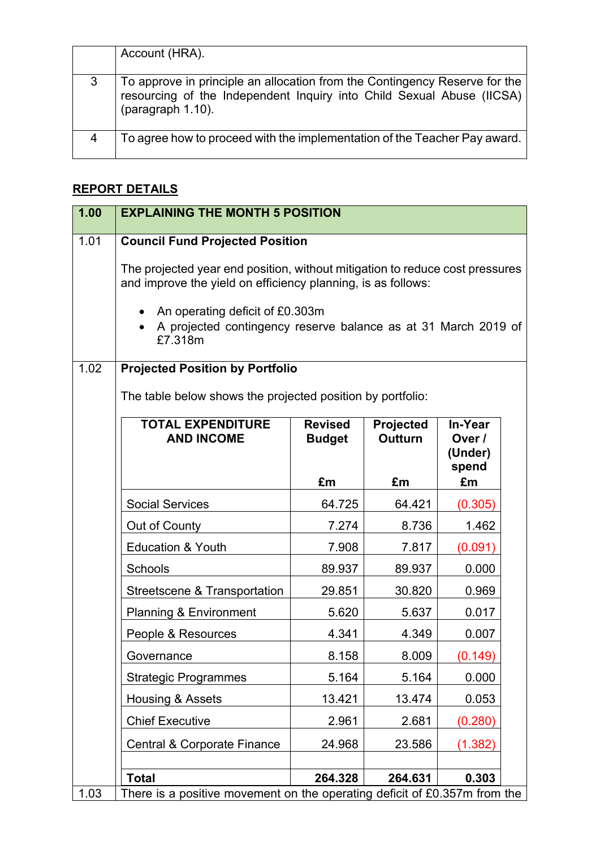|   | Account (HRA).                                                                                                                                                           |
|---|--------------------------------------------------------------------------------------------------------------------------------------------------------------------------|
| 3 | To approve in principle an allocation from the Contingency Reserve for the<br>resourcing of the Independent Inquiry into Child Sexual Abuse (IICSA)<br>(paragraph 1.10). |
| 4 | To agree how to proceed with the implementation of the Teacher Pay award.                                                                                                |

# **REPORT DETAILS**

| 1.00 | <b>EXPLAINING THE MONTH 5 POSITION</b>                                                                                                       |                                 |                             |                                       |  |
|------|----------------------------------------------------------------------------------------------------------------------------------------------|---------------------------------|-----------------------------|---------------------------------------|--|
| 1.01 | <b>Council Fund Projected Position</b>                                                                                                       |                                 |                             |                                       |  |
|      | The projected year end position, without mitigation to reduce cost pressures<br>and improve the yield on efficiency planning, is as follows: |                                 |                             |                                       |  |
|      | An operating deficit of £0.303m<br>A projected contingency reserve balance as at 31 March 2019 of<br>£7.318m                                 |                                 |                             |                                       |  |
| 1.02 | <b>Projected Position by Portfolio</b>                                                                                                       |                                 |                             |                                       |  |
|      | The table below shows the projected position by portfolio:                                                                                   |                                 |                             |                                       |  |
|      | <b>TOTAL EXPENDITURE</b><br><b>AND INCOME</b>                                                                                                | <b>Revised</b><br><b>Budget</b> | Projected<br><b>Outturn</b> | In-Year<br>Over /<br>(Under)<br>spend |  |
|      |                                                                                                                                              | £m                              | £m                          | £m                                    |  |
|      | <b>Social Services</b>                                                                                                                       | 64.725                          | 64.421                      | (0.305)                               |  |
|      | Out of County                                                                                                                                | 7.274                           | 8.736                       | 1.462                                 |  |
|      | <b>Education &amp; Youth</b>                                                                                                                 | 7.908                           | 7.817                       | (0.091)                               |  |
|      | Schools                                                                                                                                      | 89.937                          | 89.937                      | 0.000                                 |  |
|      | Streetscene & Transportation                                                                                                                 | 29.851                          | 30.820                      | 0.969                                 |  |
|      | <b>Planning &amp; Environment</b>                                                                                                            | 5.620                           | 5.637                       | 0.017                                 |  |
|      | People & Resources                                                                                                                           | 4.341                           | 4.349                       | 0.007                                 |  |
|      | Governance                                                                                                                                   | 8.158                           | 8.009                       | (0.149)                               |  |
|      | <b>Strategic Programmes</b>                                                                                                                  | 5.164                           | 5.164                       | 0.000                                 |  |
|      | Housing & Assets                                                                                                                             | 13.421                          | 13.474                      | 0.053                                 |  |
|      | <b>Chief Executive</b>                                                                                                                       | 2.961                           | 2.681                       | (0.280)                               |  |
|      | Central & Corporate Finance                                                                                                                  | 24.968                          | 23.586                      | (1.382)                               |  |
|      |                                                                                                                                              |                                 |                             |                                       |  |
| 1.03 | <b>Total</b><br>There is a positive movement on the operating deficit of £0.357m from the                                                    | 264.328                         | 264.631                     | 0.303                                 |  |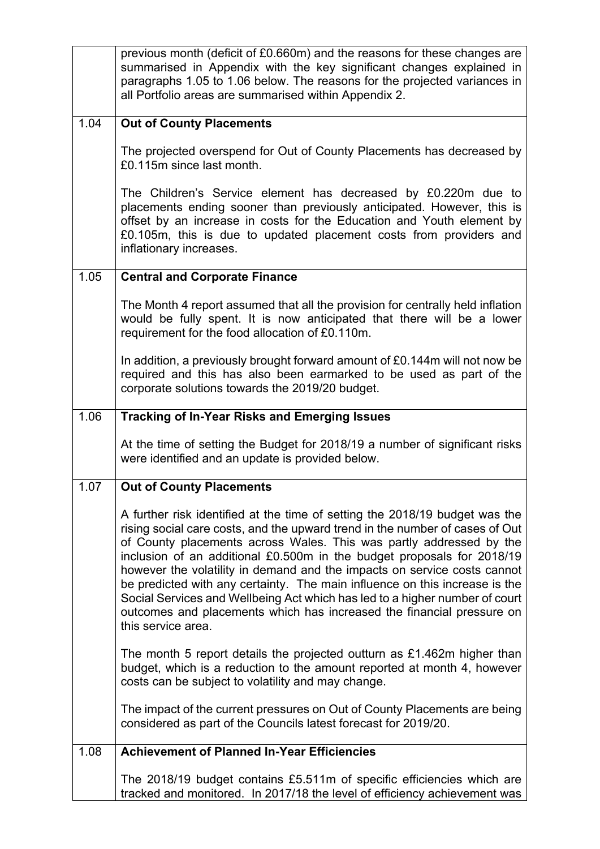|      | previous month (deficit of £0.660m) and the reasons for these changes are<br>summarised in Appendix with the key significant changes explained in<br>paragraphs 1.05 to 1.06 below. The reasons for the projected variances in<br>all Portfolio areas are summarised within Appendix 2.                                                                                                                                                                                                                                                                                                                                                               |
|------|-------------------------------------------------------------------------------------------------------------------------------------------------------------------------------------------------------------------------------------------------------------------------------------------------------------------------------------------------------------------------------------------------------------------------------------------------------------------------------------------------------------------------------------------------------------------------------------------------------------------------------------------------------|
| 1.04 | <b>Out of County Placements</b>                                                                                                                                                                                                                                                                                                                                                                                                                                                                                                                                                                                                                       |
|      | The projected overspend for Out of County Placements has decreased by<br>£0.115m since last month.                                                                                                                                                                                                                                                                                                                                                                                                                                                                                                                                                    |
|      | The Children's Service element has decreased by £0.220m due to<br>placements ending sooner than previously anticipated. However, this is<br>offset by an increase in costs for the Education and Youth element by<br>£0.105m, this is due to updated placement costs from providers and<br>inflationary increases.                                                                                                                                                                                                                                                                                                                                    |
| 1.05 | <b>Central and Corporate Finance</b>                                                                                                                                                                                                                                                                                                                                                                                                                                                                                                                                                                                                                  |
|      | The Month 4 report assumed that all the provision for centrally held inflation<br>would be fully spent. It is now anticipated that there will be a lower<br>requirement for the food allocation of £0.110m.                                                                                                                                                                                                                                                                                                                                                                                                                                           |
|      | In addition, a previously brought forward amount of £0.144m will not now be<br>required and this has also been earmarked to be used as part of the<br>corporate solutions towards the 2019/20 budget.                                                                                                                                                                                                                                                                                                                                                                                                                                                 |
| 1.06 | <b>Tracking of In-Year Risks and Emerging Issues</b>                                                                                                                                                                                                                                                                                                                                                                                                                                                                                                                                                                                                  |
|      | At the time of setting the Budget for 2018/19 a number of significant risks<br>were identified and an update is provided below.                                                                                                                                                                                                                                                                                                                                                                                                                                                                                                                       |
| 1.07 | <b>Out of County Placements</b>                                                                                                                                                                                                                                                                                                                                                                                                                                                                                                                                                                                                                       |
|      | A further risk identified at the time of setting the 2018/19 budget was the<br>rising social care costs, and the upward trend in the number of cases of Out<br>of County placements across Wales. This was partly addressed by the<br>inclusion of an additional £0.500m in the budget proposals for 2018/19<br>however the volatility in demand and the impacts on service costs cannot<br>be predicted with any certainty. The main influence on this increase is the<br>Social Services and Wellbeing Act which has led to a higher number of court<br>outcomes and placements which has increased the financial pressure on<br>this service area. |
|      | The month 5 report details the projected outturn as £1.462m higher than<br>budget, which is a reduction to the amount reported at month 4, however<br>costs can be subject to volatility and may change.                                                                                                                                                                                                                                                                                                                                                                                                                                              |
|      | The impact of the current pressures on Out of County Placements are being<br>considered as part of the Councils latest forecast for 2019/20.                                                                                                                                                                                                                                                                                                                                                                                                                                                                                                          |
| 1.08 | <b>Achievement of Planned In-Year Efficiencies</b>                                                                                                                                                                                                                                                                                                                                                                                                                                                                                                                                                                                                    |
|      | The 2018/19 budget contains £5.511m of specific efficiencies which are<br>tracked and monitored. In 2017/18 the level of efficiency achievement was                                                                                                                                                                                                                                                                                                                                                                                                                                                                                                   |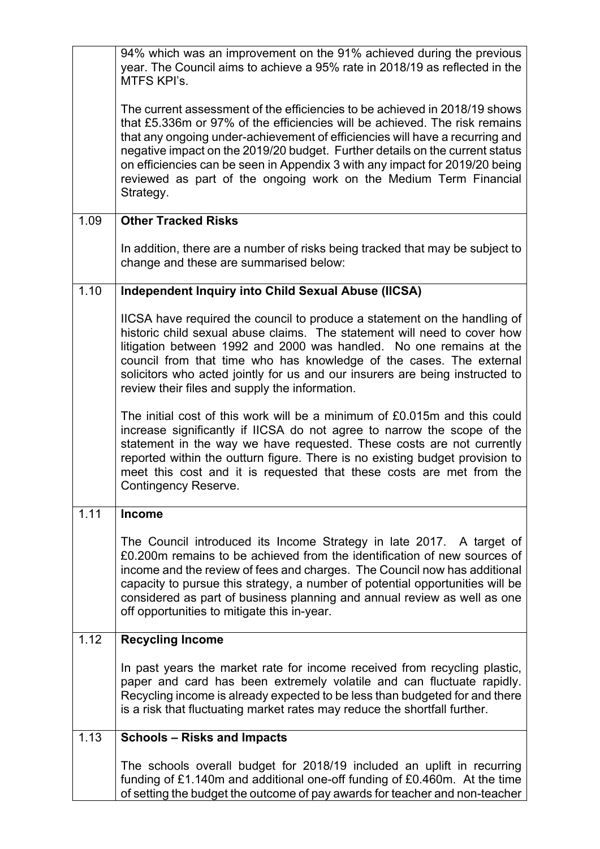|      | 94% which was an improvement on the 91% achieved during the previous<br>year. The Council aims to achieve a 95% rate in 2018/19 as reflected in the<br>MTFS KPI's.                                                                                                                                                                                                                                                                                                                        |
|------|-------------------------------------------------------------------------------------------------------------------------------------------------------------------------------------------------------------------------------------------------------------------------------------------------------------------------------------------------------------------------------------------------------------------------------------------------------------------------------------------|
|      | The current assessment of the efficiencies to be achieved in 2018/19 shows<br>that £5.336m or 97% of the efficiencies will be achieved. The risk remains<br>that any ongoing under-achievement of efficiencies will have a recurring and<br>negative impact on the 2019/20 budget. Further details on the current status<br>on efficiencies can be seen in Appendix 3 with any impact for 2019/20 being<br>reviewed as part of the ongoing work on the Medium Term Financial<br>Strategy. |
| 1.09 | <b>Other Tracked Risks</b>                                                                                                                                                                                                                                                                                                                                                                                                                                                                |
|      | In addition, there are a number of risks being tracked that may be subject to<br>change and these are summarised below:                                                                                                                                                                                                                                                                                                                                                                   |
| 1.10 | <b>Independent Inquiry into Child Sexual Abuse (IICSA)</b>                                                                                                                                                                                                                                                                                                                                                                                                                                |
|      | IICSA have required the council to produce a statement on the handling of<br>historic child sexual abuse claims. The statement will need to cover how<br>litigation between 1992 and 2000 was handled. No one remains at the<br>council from that time who has knowledge of the cases. The external<br>solicitors who acted jointly for us and our insurers are being instructed to<br>review their files and supply the information.                                                     |
|      | The initial cost of this work will be a minimum of £0.015m and this could<br>increase significantly if IICSA do not agree to narrow the scope of the<br>statement in the way we have requested. These costs are not currently<br>reported within the outturn figure. There is no existing budget provision to<br>meet this cost and it is requested that these costs are met from the<br><b>Contingency Reserve.</b>                                                                      |
| 1.11 | <b>Income</b>                                                                                                                                                                                                                                                                                                                                                                                                                                                                             |
|      | The Council introduced its Income Strategy in late 2017. A target of<br>£0.200m remains to be achieved from the identification of new sources of<br>income and the review of fees and charges. The Council now has additional<br>capacity to pursue this strategy, a number of potential opportunities will be<br>considered as part of business planning and annual review as well as one<br>off opportunities to mitigate this in-year.                                                 |
| 1.12 | <b>Recycling Income</b>                                                                                                                                                                                                                                                                                                                                                                                                                                                                   |
|      | In past years the market rate for income received from recycling plastic,<br>paper and card has been extremely volatile and can fluctuate rapidly.<br>Recycling income is already expected to be less than budgeted for and there<br>is a risk that fluctuating market rates may reduce the shortfall further.                                                                                                                                                                            |
| 1.13 | <b>Schools - Risks and Impacts</b>                                                                                                                                                                                                                                                                                                                                                                                                                                                        |
|      | The schools overall budget for 2018/19 included an uplift in recurring<br>funding of £1.140m and additional one-off funding of £0.460m. At the time<br>of setting the budget the outcome of pay awards for teacher and non-teacher                                                                                                                                                                                                                                                        |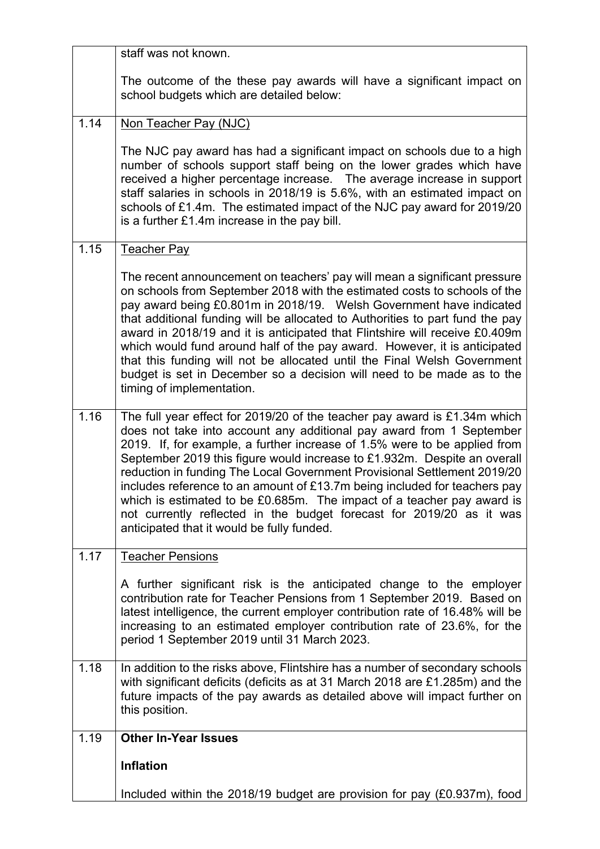|      | staff was not known.                                                                                                                                                                                                                                                                                                                                                                                                                                                                                                                                                                                                                                                  |
|------|-----------------------------------------------------------------------------------------------------------------------------------------------------------------------------------------------------------------------------------------------------------------------------------------------------------------------------------------------------------------------------------------------------------------------------------------------------------------------------------------------------------------------------------------------------------------------------------------------------------------------------------------------------------------------|
|      | The outcome of the these pay awards will have a significant impact on<br>school budgets which are detailed below:                                                                                                                                                                                                                                                                                                                                                                                                                                                                                                                                                     |
| 1.14 | Non Teacher Pay (NJC)                                                                                                                                                                                                                                                                                                                                                                                                                                                                                                                                                                                                                                                 |
|      | The NJC pay award has had a significant impact on schools due to a high<br>number of schools support staff being on the lower grades which have<br>received a higher percentage increase.  The average increase in support<br>staff salaries in schools in 2018/19 is 5.6%, with an estimated impact on<br>schools of £1.4m. The estimated impact of the NJC pay award for 2019/20<br>is a further $£1.4m$ increase in the pay bill.                                                                                                                                                                                                                                  |
| 1.15 | <b>Teacher Pay</b>                                                                                                                                                                                                                                                                                                                                                                                                                                                                                                                                                                                                                                                    |
|      | The recent announcement on teachers' pay will mean a significant pressure<br>on schools from September 2018 with the estimated costs to schools of the<br>pay award being £0.801m in 2018/19. Welsh Government have indicated<br>that additional funding will be allocated to Authorities to part fund the pay<br>award in 2018/19 and it is anticipated that Flintshire will receive £0.409m<br>which would fund around half of the pay award. However, it is anticipated<br>that this funding will not be allocated until the Final Welsh Government<br>budget is set in December so a decision will need to be made as to the<br>timing of implementation.         |
| 1.16 | The full year effect for 2019/20 of the teacher pay award is $£1.34m$ which<br>does not take into account any additional pay award from 1 September<br>2019. If, for example, a further increase of 1.5% were to be applied from<br>September 2019 this figure would increase to £1.932m. Despite an overall<br>reduction in funding The Local Government Provisional Settlement 2019/20<br>includes reference to an amount of £13.7m being included for teachers pay<br>which is estimated to be £0.685m. The impact of a teacher pay award is<br>not currently reflected in the budget forecast for 2019/20 as it was<br>anticipated that it would be fully funded. |
| 1.17 | <b>Teacher Pensions</b>                                                                                                                                                                                                                                                                                                                                                                                                                                                                                                                                                                                                                                               |
|      | A further significant risk is the anticipated change to the employer<br>contribution rate for Teacher Pensions from 1 September 2019. Based on<br>latest intelligence, the current employer contribution rate of 16.48% will be<br>increasing to an estimated employer contribution rate of 23.6%, for the<br>period 1 September 2019 until 31 March 2023.                                                                                                                                                                                                                                                                                                            |
| 1.18 | In addition to the risks above, Flintshire has a number of secondary schools<br>with significant deficits (deficits as at 31 March 2018 are £1.285m) and the<br>future impacts of the pay awards as detailed above will impact further on<br>this position.                                                                                                                                                                                                                                                                                                                                                                                                           |
| 1.19 | <b>Other In-Year Issues</b>                                                                                                                                                                                                                                                                                                                                                                                                                                                                                                                                                                                                                                           |
|      | <b>Inflation</b>                                                                                                                                                                                                                                                                                                                                                                                                                                                                                                                                                                                                                                                      |
|      | Included within the 2018/19 budget are provision for pay (£0.937m), food                                                                                                                                                                                                                                                                                                                                                                                                                                                                                                                                                                                              |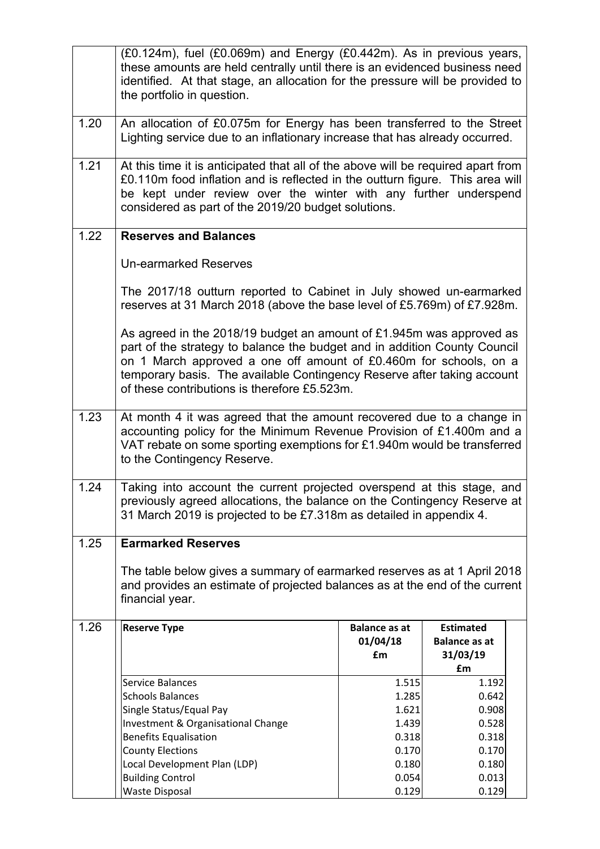|      | (£0.124m), fuel (£0.069m) and Energy (£0.442m). As in previous years,<br>these amounts are held centrally until there is an evidenced business need<br>identified. At that stage, an allocation for the pressure will be provided to<br>the portfolio in question.                                                                                |                                        |                                                            |  |
|------|---------------------------------------------------------------------------------------------------------------------------------------------------------------------------------------------------------------------------------------------------------------------------------------------------------------------------------------------------|----------------------------------------|------------------------------------------------------------|--|
| 1.20 | An allocation of £0.075m for Energy has been transferred to the Street<br>Lighting service due to an inflationary increase that has already occurred.                                                                                                                                                                                             |                                        |                                                            |  |
| 1.21 | At this time it is anticipated that all of the above will be required apart from<br>£0.110m food inflation and is reflected in the outturn figure. This area will<br>be kept under review over the winter with any further underspend<br>considered as part of the 2019/20 budget solutions.                                                      |                                        |                                                            |  |
| 1.22 | <b>Reserves and Balances</b>                                                                                                                                                                                                                                                                                                                      |                                        |                                                            |  |
|      | <b>Un-earmarked Reserves</b>                                                                                                                                                                                                                                                                                                                      |                                        |                                                            |  |
|      | The 2017/18 outturn reported to Cabinet in July showed un-earmarked<br>reserves at 31 March 2018 (above the base level of £5.769m) of £7.928m.                                                                                                                                                                                                    |                                        |                                                            |  |
|      | As agreed in the 2018/19 budget an amount of £1.945m was approved as<br>part of the strategy to balance the budget and in addition County Council<br>on 1 March approved a one off amount of £0.460m for schools, on a<br>temporary basis. The available Contingency Reserve after taking account<br>of these contributions is therefore £5.523m. |                                        |                                                            |  |
| 1.23 | At month 4 it was agreed that the amount recovered due to a change in<br>accounting policy for the Minimum Revenue Provision of £1.400m and a<br>VAT rebate on some sporting exemptions for £1.940m would be transferred<br>to the Contingency Reserve.                                                                                           |                                        |                                                            |  |
| 1.24 | Taking into account the current projected overspend at this stage, and<br>previously agreed allocations, the balance on the Contingency Reserve at<br>31 March 2019 is projected to be £7.318m as detailed in appendix 4.                                                                                                                         |                                        |                                                            |  |
| 1.25 | <b>Earmarked Reserves</b>                                                                                                                                                                                                                                                                                                                         |                                        |                                                            |  |
|      | The table below gives a summary of earmarked reserves as at 1 April 2018<br>and provides an estimate of projected balances as at the end of the current<br>financial year.                                                                                                                                                                        |                                        |                                                            |  |
| 1.26 | <b>Reserve Type</b>                                                                                                                                                                                                                                                                                                                               | <b>Balance as at</b><br>01/04/18<br>£m | <b>Estimated</b><br><b>Balance as at</b><br>31/03/19<br>£m |  |
|      | Service Balances                                                                                                                                                                                                                                                                                                                                  | 1.515                                  | 1.192                                                      |  |
|      | <b>Schools Balances</b>                                                                                                                                                                                                                                                                                                                           | 1.285                                  | 0.642                                                      |  |
|      | Single Status/Equal Pay                                                                                                                                                                                                                                                                                                                           | 1.621                                  | 0.908                                                      |  |
|      | Investment & Organisational Change<br><b>Benefits Equalisation</b>                                                                                                                                                                                                                                                                                | 1.439<br>0.318                         | 0.528<br>0.318                                             |  |
|      | <b>County Elections</b>                                                                                                                                                                                                                                                                                                                           | 0.170                                  | 0.170                                                      |  |
|      | Local Development Plan (LDP)                                                                                                                                                                                                                                                                                                                      | 0.180                                  | 0.180                                                      |  |
|      | <b>Building Control</b>                                                                                                                                                                                                                                                                                                                           | 0.054                                  | 0.013                                                      |  |
|      | <b>Waste Disposal</b>                                                                                                                                                                                                                                                                                                                             | 0.129                                  | 0.129                                                      |  |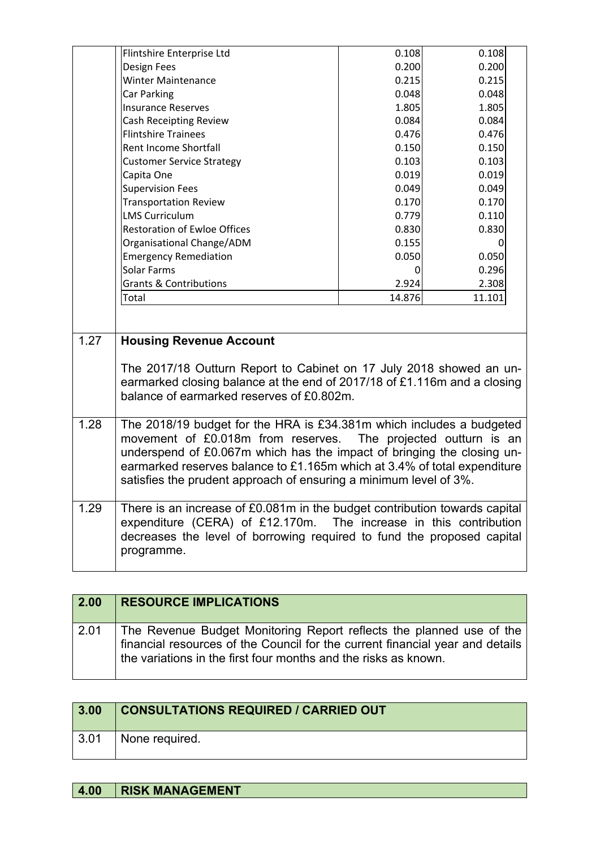|      | Flintshire Enterprise Ltd                                                                                                                                                                                                                                                                                                                                         | 0.108  | 0.108  |
|------|-------------------------------------------------------------------------------------------------------------------------------------------------------------------------------------------------------------------------------------------------------------------------------------------------------------------------------------------------------------------|--------|--------|
|      | <b>Design Fees</b>                                                                                                                                                                                                                                                                                                                                                | 0.200  | 0.200  |
|      | <b>Winter Maintenance</b>                                                                                                                                                                                                                                                                                                                                         | 0.215  | 0.215  |
|      | Car Parking                                                                                                                                                                                                                                                                                                                                                       | 0.048  | 0.048  |
|      | <b>Insurance Reserves</b>                                                                                                                                                                                                                                                                                                                                         | 1.805  | 1.805  |
|      | <b>Cash Receipting Review</b>                                                                                                                                                                                                                                                                                                                                     | 0.084  | 0.084  |
|      | <b>Flintshire Trainees</b>                                                                                                                                                                                                                                                                                                                                        | 0.476  | 0.476  |
|      | Rent Income Shortfall                                                                                                                                                                                                                                                                                                                                             | 0.150  | 0.150  |
|      | <b>Customer Service Strategy</b>                                                                                                                                                                                                                                                                                                                                  | 0.103  | 0.103  |
|      | Capita One                                                                                                                                                                                                                                                                                                                                                        | 0.019  | 0.019  |
|      | <b>Supervision Fees</b>                                                                                                                                                                                                                                                                                                                                           | 0.049  | 0.049  |
|      | <b>Transportation Review</b>                                                                                                                                                                                                                                                                                                                                      | 0.170  | 0.170  |
|      | <b>LMS Curriculum</b>                                                                                                                                                                                                                                                                                                                                             | 0.779  | 0.110  |
|      | <b>Restoration of Ewloe Offices</b>                                                                                                                                                                                                                                                                                                                               | 0.830  | 0.830  |
|      | Organisational Change/ADM                                                                                                                                                                                                                                                                                                                                         | 0.155  | 0      |
|      | <b>Emergency Remediation</b>                                                                                                                                                                                                                                                                                                                                      | 0.050  | 0.050  |
|      | Solar Farms                                                                                                                                                                                                                                                                                                                                                       | 0      | 0.296  |
|      | <b>Grants &amp; Contributions</b>                                                                                                                                                                                                                                                                                                                                 | 2.924  | 2.308  |
|      | Total                                                                                                                                                                                                                                                                                                                                                             | 14.876 | 11.101 |
|      |                                                                                                                                                                                                                                                                                                                                                                   |        |        |
| 1.27 | <b>Housing Revenue Account</b>                                                                                                                                                                                                                                                                                                                                    |        |        |
|      | The 2017/18 Outturn Report to Cabinet on 17 July 2018 showed an un-<br>earmarked closing balance at the end of 2017/18 of £1.116m and a closing<br>balance of earmarked reserves of £0.802m.                                                                                                                                                                      |        |        |
| 1.28 | The 2018/19 budget for the HRA is £34.381m which includes a budgeted<br>movement of £0.018m from reserves. The projected outturn is an<br>underspend of £0.067m which has the impact of bringing the closing un-<br>earmarked reserves balance to £1.165m which at 3.4% of total expenditure<br>satisfies the prudent approach of ensuring a minimum level of 3%. |        |        |
| 1.29 | There is an increase of £0.081m in the budget contribution towards capital<br>expenditure (CERA) of £12.170m. The increase in this contribution<br>decreases the level of borrowing required to fund the proposed capital<br>programme.                                                                                                                           |        |        |

| 2.00 | <b>RESOURCE IMPLICATIONS</b>                                                                                                                                                                                             |
|------|--------------------------------------------------------------------------------------------------------------------------------------------------------------------------------------------------------------------------|
| 2.01 | The Revenue Budget Monitoring Report reflects the planned use of the<br>financial resources of the Council for the current financial year and details<br>the variations in the first four months and the risks as known. |

| 3.00 | <b>CONSULTATIONS REQUIRED / CARRIED OUT</b> |
|------|---------------------------------------------|
| 3.01 | None required.                              |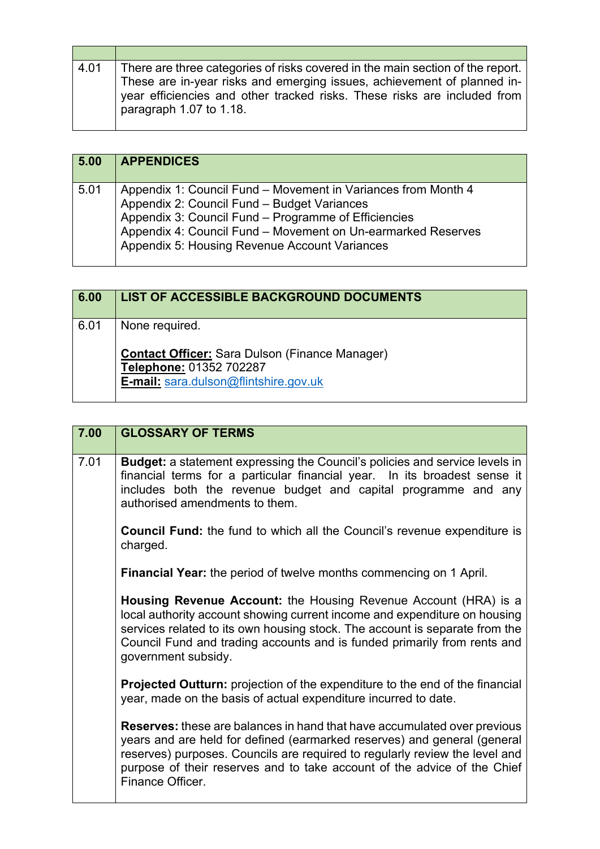| 4.01 | There are three categories of risks covered in the main section of the report.<br>These are in-year risks and emerging issues, achievement of planned in-<br>year efficiencies and other tracked risks. These risks are included from<br>paragraph 1.07 to 1.18. |
|------|------------------------------------------------------------------------------------------------------------------------------------------------------------------------------------------------------------------------------------------------------------------|

| 5.00 | <b>APPENDICES</b>                                                                                                                                                                                                                                                                     |
|------|---------------------------------------------------------------------------------------------------------------------------------------------------------------------------------------------------------------------------------------------------------------------------------------|
| 5.01 | Appendix 1: Council Fund – Movement in Variances from Month 4<br>Appendix 2: Council Fund - Budget Variances<br>Appendix 3: Council Fund – Programme of Efficiencies<br>Appendix 4: Council Fund - Movement on Un-earmarked Reserves<br>Appendix 5: Housing Revenue Account Variances |

| 6.00 | <b>LIST OF ACCESSIBLE BACKGROUND DOCUMENTS</b>                                                                                              |
|------|---------------------------------------------------------------------------------------------------------------------------------------------|
| 6.01 | None required.<br><b>Contact Officer: Sara Dulson (Finance Manager)</b><br>Telephone: 01352 702287<br>E-mail: sara.dulson@flintshire.gov.uk |

| 7.00 | <b>GLOSSARY OF TERMS</b>                                                                                                                                                                                                                                                                                                                   |
|------|--------------------------------------------------------------------------------------------------------------------------------------------------------------------------------------------------------------------------------------------------------------------------------------------------------------------------------------------|
| 7.01 | <b>Budget:</b> a statement expressing the Council's policies and service levels in<br>financial terms for a particular financial year. In its broadest sense it<br>includes both the revenue budget and capital programme and any<br>authorised amendments to them.                                                                        |
|      | <b>Council Fund:</b> the fund to which all the Council's revenue expenditure is<br>charged.                                                                                                                                                                                                                                                |
|      | <b>Financial Year:</b> the period of twelve months commencing on 1 April.                                                                                                                                                                                                                                                                  |
|      | <b>Housing Revenue Account:</b> the Housing Revenue Account (HRA) is a<br>local authority account showing current income and expenditure on housing<br>services related to its own housing stock. The account is separate from the<br>Council Fund and trading accounts and is funded primarily from rents and<br>government subsidy.      |
|      | <b>Projected Outturn:</b> projection of the expenditure to the end of the financial<br>year, made on the basis of actual expenditure incurred to date.                                                                                                                                                                                     |
|      | <b>Reserves:</b> these are balances in hand that have accumulated over previous<br>years and are held for defined (earmarked reserves) and general (general<br>reserves) purposes. Councils are required to regularly review the level and<br>purpose of their reserves and to take account of the advice of the Chief<br>Finance Officer. |